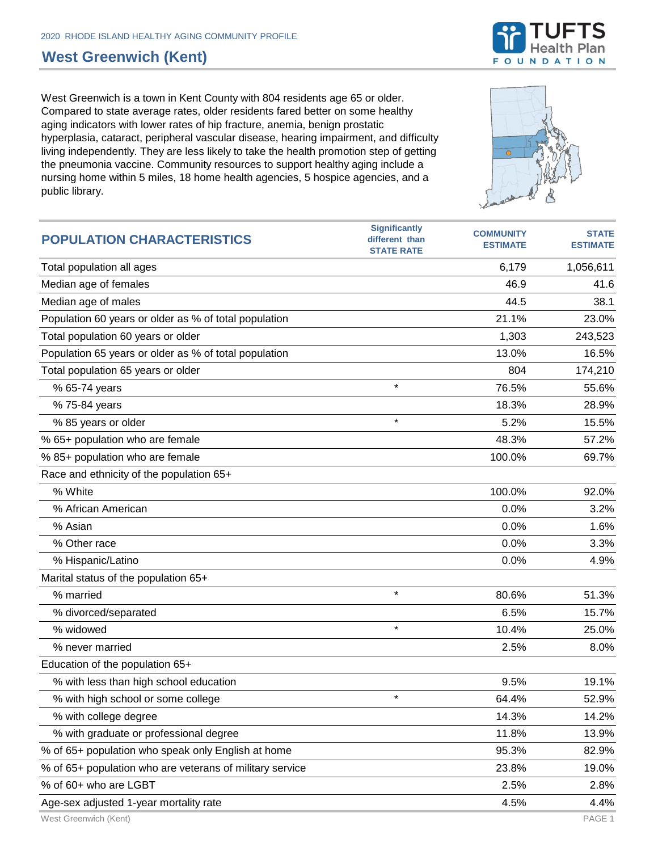## **West Greenwich (Kent)**

West Greenwich is a town in Kent County with 804 residents age 65 or older. Compared to state average rates, older residents fared better on some healthy aging indicators with lower rates of hip fracture, anemia, benign prostatic hyperplasia, cataract, peripheral vascular disease, hearing impairment, and difficulty living independently. They are less likely to take the health promotion step of getting the pneumonia vaccine. Community resources to support healthy aging include a nursing home within 5 miles, 18 home health agencies, 5 hospice agencies, and a public library.

| <b>POPULATION CHARACTERISTICS</b>                        | <b>Significantly</b><br>different than<br><b>STATE RATE</b> | <b>COMMUNITY</b><br><b>ESTIMATE</b> | <b>STATE</b><br><b>ESTIMATE</b> |
|----------------------------------------------------------|-------------------------------------------------------------|-------------------------------------|---------------------------------|
| Total population all ages                                |                                                             | 6,179                               | 1,056,611                       |
| Median age of females                                    |                                                             | 46.9                                | 41.6                            |
| Median age of males                                      |                                                             | 44.5                                | 38.1                            |
| Population 60 years or older as % of total population    |                                                             | 21.1%                               | 23.0%                           |
| Total population 60 years or older                       |                                                             | 1,303                               | 243,523                         |
| Population 65 years or older as % of total population    |                                                             | 13.0%                               | 16.5%                           |
| Total population 65 years or older                       |                                                             | 804                                 | 174,210                         |
| % 65-74 years                                            | $\star$                                                     | 76.5%                               | 55.6%                           |
| % 75-84 years                                            |                                                             | 18.3%                               | 28.9%                           |
| % 85 years or older                                      | $\star$                                                     | 5.2%                                | 15.5%                           |
| % 65+ population who are female                          |                                                             | 48.3%                               | 57.2%                           |
| % 85+ population who are female                          |                                                             | 100.0%                              | 69.7%                           |
| Race and ethnicity of the population 65+                 |                                                             |                                     |                                 |
| % White                                                  |                                                             | 100.0%                              | 92.0%                           |
| % African American                                       |                                                             | 0.0%                                | 3.2%                            |
| % Asian                                                  |                                                             | 0.0%                                | 1.6%                            |
| % Other race                                             |                                                             | 0.0%                                | 3.3%                            |
| % Hispanic/Latino                                        |                                                             | 0.0%                                | 4.9%                            |
| Marital status of the population 65+                     |                                                             |                                     |                                 |
| % married                                                | $\star$                                                     | 80.6%                               | 51.3%                           |
| % divorced/separated                                     |                                                             | 6.5%                                | 15.7%                           |
| % widowed                                                | $\star$                                                     | 10.4%                               | 25.0%                           |
| % never married                                          |                                                             | 2.5%                                | 8.0%                            |
| Education of the population 65+                          |                                                             |                                     |                                 |
| % with less than high school education                   |                                                             | 9.5%                                | 19.1%                           |
| % with high school or some college                       | $\star$                                                     | 64.4%                               | 52.9%                           |
| % with college degree                                    |                                                             | 14.3%                               | 14.2%                           |
| % with graduate or professional degree                   |                                                             | 11.8%                               | 13.9%                           |
| % of 65+ population who speak only English at home       |                                                             | 95.3%                               | 82.9%                           |
| % of 65+ population who are veterans of military service |                                                             | 23.8%                               | 19.0%                           |
| % of 60+ who are LGBT                                    |                                                             | 2.5%                                | 2.8%                            |
| Age-sex adjusted 1-year mortality rate                   |                                                             | 4.5%                                | 4.4%                            |



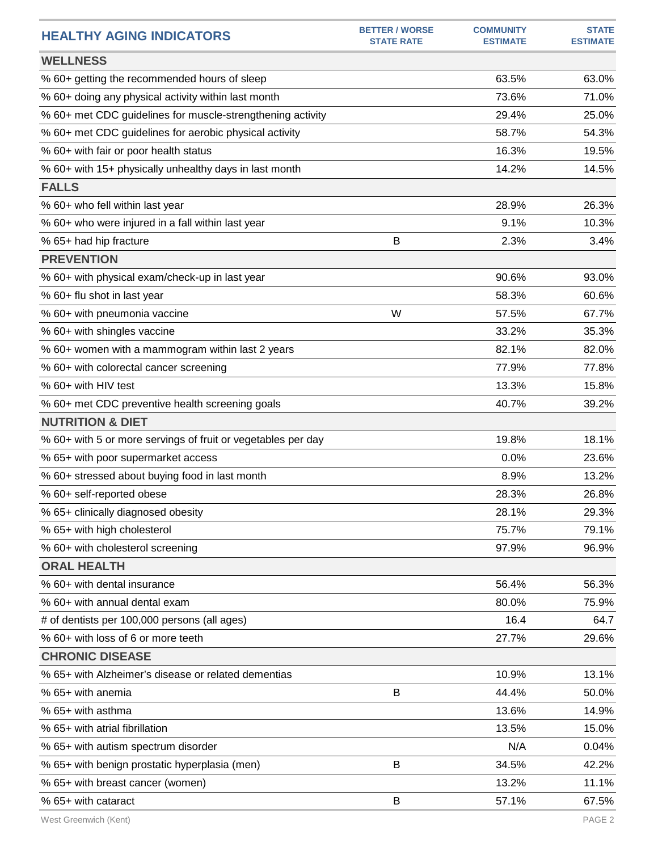| <b>HEALTHY AGING INDICATORS</b>                              | <b>BETTER / WORSE</b><br><b>STATE RATE</b> | <b>COMMUNITY</b><br><b>ESTIMATE</b> | <b>STATE</b><br><b>ESTIMATE</b> |
|--------------------------------------------------------------|--------------------------------------------|-------------------------------------|---------------------------------|
| <b>WELLNESS</b>                                              |                                            |                                     |                                 |
| % 60+ getting the recommended hours of sleep                 |                                            | 63.5%                               | 63.0%                           |
| % 60+ doing any physical activity within last month          |                                            | 73.6%                               | 71.0%                           |
| % 60+ met CDC guidelines for muscle-strengthening activity   |                                            | 29.4%                               | 25.0%                           |
| % 60+ met CDC guidelines for aerobic physical activity       |                                            | 58.7%                               | 54.3%                           |
| % 60+ with fair or poor health status                        |                                            | 16.3%                               | 19.5%                           |
| % 60+ with 15+ physically unhealthy days in last month       |                                            | 14.2%                               | 14.5%                           |
| <b>FALLS</b>                                                 |                                            |                                     |                                 |
| % 60+ who fell within last year                              |                                            | 28.9%                               | 26.3%                           |
| % 60+ who were injured in a fall within last year            |                                            | 9.1%                                | 10.3%                           |
| % 65+ had hip fracture                                       | B                                          | 2.3%                                | 3.4%                            |
| <b>PREVENTION</b>                                            |                                            |                                     |                                 |
| % 60+ with physical exam/check-up in last year               |                                            | 90.6%                               | 93.0%                           |
| % 60+ flu shot in last year                                  |                                            | 58.3%                               | 60.6%                           |
| % 60+ with pneumonia vaccine                                 | W                                          | 57.5%                               | 67.7%                           |
| % 60+ with shingles vaccine                                  |                                            | 33.2%                               | 35.3%                           |
| % 60+ women with a mammogram within last 2 years             |                                            | 82.1%                               | 82.0%                           |
| % 60+ with colorectal cancer screening                       |                                            | 77.9%                               | 77.8%                           |
| % 60+ with HIV test                                          |                                            | 13.3%                               | 15.8%                           |
| % 60+ met CDC preventive health screening goals              |                                            | 40.7%                               | 39.2%                           |
| <b>NUTRITION &amp; DIET</b>                                  |                                            |                                     |                                 |
| % 60+ with 5 or more servings of fruit or vegetables per day |                                            | 19.8%                               | 18.1%                           |
| % 65+ with poor supermarket access                           |                                            | 0.0%                                | 23.6%                           |
| % 60+ stressed about buying food in last month               |                                            | 8.9%                                | 13.2%                           |
| % 60+ self-reported obese                                    |                                            | 28.3%                               | 26.8%                           |
| % 65+ clinically diagnosed obesity                           |                                            | 28.1%                               | 29.3%                           |
| % 65+ with high cholesterol                                  |                                            | 75.7%                               | 79.1%                           |
| % 60+ with cholesterol screening                             |                                            | 97.9%                               | 96.9%                           |
| <b>ORAL HEALTH</b>                                           |                                            |                                     |                                 |
| % 60+ with dental insurance                                  |                                            | 56.4%                               | 56.3%                           |
| % 60+ with annual dental exam                                |                                            | 80.0%                               | 75.9%                           |
| # of dentists per 100,000 persons (all ages)                 |                                            | 16.4                                | 64.7                            |
| % 60+ with loss of 6 or more teeth                           |                                            | 27.7%                               | 29.6%                           |
| <b>CHRONIC DISEASE</b>                                       |                                            |                                     |                                 |
| % 65+ with Alzheimer's disease or related dementias          |                                            | 10.9%                               | 13.1%                           |
| % 65+ with anemia                                            | B                                          | 44.4%                               | 50.0%                           |
| % 65+ with asthma                                            |                                            | 13.6%                               | 14.9%                           |
| % 65+ with atrial fibrillation                               |                                            | 13.5%                               | 15.0%                           |
| % 65+ with autism spectrum disorder                          |                                            | N/A                                 | 0.04%                           |
| % 65+ with benign prostatic hyperplasia (men)                | B                                          | 34.5%                               | 42.2%                           |
| % 65+ with breast cancer (women)                             |                                            | 13.2%                               | 11.1%                           |
| % 65+ with cataract                                          | B                                          | 57.1%                               | 67.5%                           |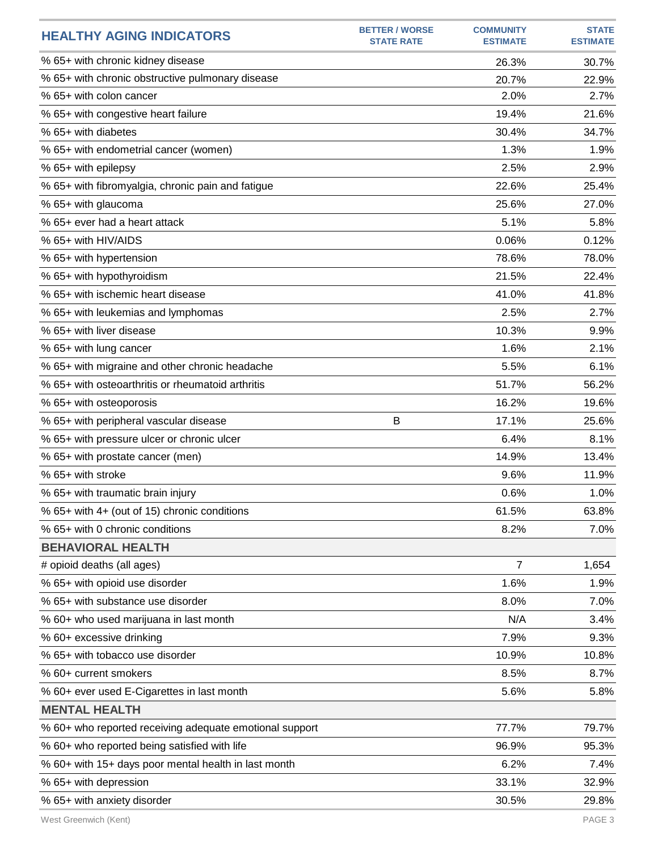| <b>HEALTHY AGING INDICATORS</b>                         | <b>BETTER / WORSE</b><br><b>STATE RATE</b> | <b>COMMUNITY</b><br><b>ESTIMATE</b> | <b>STATE</b><br><b>ESTIMATE</b> |
|---------------------------------------------------------|--------------------------------------------|-------------------------------------|---------------------------------|
| % 65+ with chronic kidney disease                       |                                            | 26.3%                               | 30.7%                           |
| % 65+ with chronic obstructive pulmonary disease        |                                            | 20.7%                               | 22.9%                           |
| % 65+ with colon cancer                                 |                                            | 2.0%                                | 2.7%                            |
| % 65+ with congestive heart failure                     |                                            | 19.4%                               | 21.6%                           |
| % 65+ with diabetes                                     |                                            | 30.4%                               | 34.7%                           |
| % 65+ with endometrial cancer (women)                   |                                            | 1.3%                                | 1.9%                            |
| % 65+ with epilepsy                                     |                                            | 2.5%                                | 2.9%                            |
| % 65+ with fibromyalgia, chronic pain and fatigue       |                                            | 22.6%                               | 25.4%                           |
| % 65+ with glaucoma                                     |                                            | 25.6%                               | 27.0%                           |
| % 65+ ever had a heart attack                           |                                            | 5.1%                                | 5.8%                            |
| % 65+ with HIV/AIDS                                     |                                            | 0.06%                               | 0.12%                           |
| % 65+ with hypertension                                 |                                            | 78.6%                               | 78.0%                           |
| % 65+ with hypothyroidism                               |                                            | 21.5%                               | 22.4%                           |
| % 65+ with ischemic heart disease                       |                                            | 41.0%                               | 41.8%                           |
| % 65+ with leukemias and lymphomas                      |                                            | 2.5%                                | 2.7%                            |
| % 65+ with liver disease                                |                                            | 10.3%                               | 9.9%                            |
| % 65+ with lung cancer                                  |                                            | 1.6%                                | 2.1%                            |
| % 65+ with migraine and other chronic headache          |                                            | 5.5%                                | 6.1%                            |
| % 65+ with osteoarthritis or rheumatoid arthritis       |                                            | 51.7%                               | 56.2%                           |
| % 65+ with osteoporosis                                 |                                            | 16.2%                               | 19.6%                           |
| % 65+ with peripheral vascular disease                  | B                                          | 17.1%                               | 25.6%                           |
| % 65+ with pressure ulcer or chronic ulcer              |                                            | 6.4%                                | 8.1%                            |
| % 65+ with prostate cancer (men)                        |                                            | 14.9%                               | 13.4%                           |
| % 65+ with stroke                                       |                                            | 9.6%                                | 11.9%                           |
| % 65+ with traumatic brain injury                       |                                            | 0.6%                                | 1.0%                            |
| % 65+ with 4+ (out of 15) chronic conditions            |                                            | 61.5%                               | 63.8%                           |
| % 65+ with 0 chronic conditions                         |                                            | 8.2%                                | 7.0%                            |
| <b>BEHAVIORAL HEALTH</b>                                |                                            |                                     |                                 |
| # opioid deaths (all ages)                              |                                            | $\overline{7}$                      | 1,654                           |
| % 65+ with opioid use disorder                          |                                            | 1.6%                                | 1.9%                            |
| % 65+ with substance use disorder                       |                                            | 8.0%                                | 7.0%                            |
| % 60+ who used marijuana in last month                  |                                            | N/A                                 | 3.4%                            |
| % 60+ excessive drinking                                |                                            | 7.9%                                | 9.3%                            |
| % 65+ with tobacco use disorder                         |                                            | 10.9%                               | 10.8%                           |
| % 60+ current smokers                                   |                                            | 8.5%                                | 8.7%                            |
| % 60+ ever used E-Cigarettes in last month              |                                            | 5.6%                                | 5.8%                            |
| <b>MENTAL HEALTH</b>                                    |                                            |                                     |                                 |
| % 60+ who reported receiving adequate emotional support |                                            | 77.7%                               | 79.7%                           |
| % 60+ who reported being satisfied with life            |                                            | 96.9%                               | 95.3%                           |
| % 60+ with 15+ days poor mental health in last month    |                                            | 6.2%                                | 7.4%                            |
| % 65+ with depression                                   |                                            | 33.1%                               | 32.9%                           |
| % 65+ with anxiety disorder                             |                                            | 30.5%                               | 29.8%                           |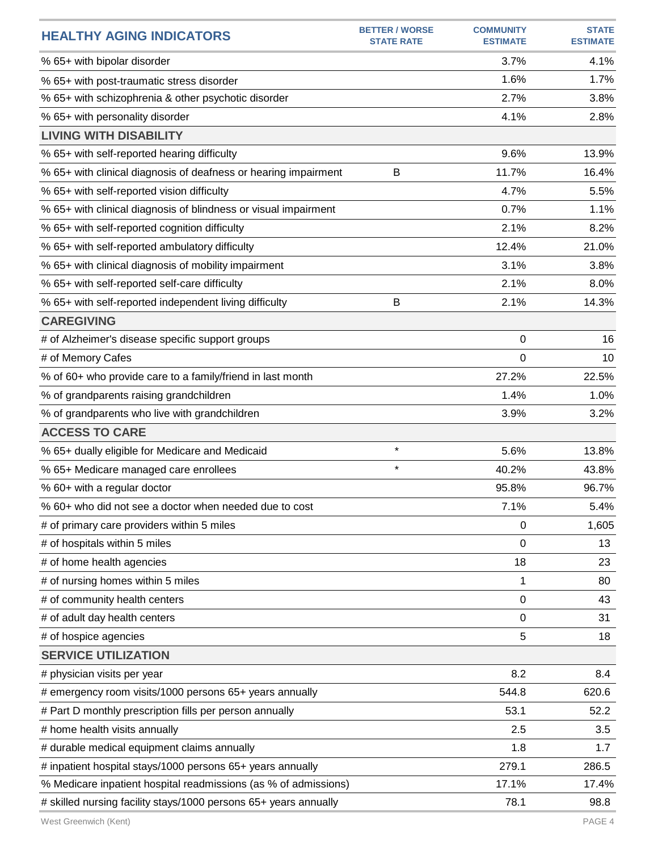| <b>HEALTHY AGING INDICATORS</b>                                  | <b>BETTER / WORSE</b><br><b>STATE RATE</b> | <b>COMMUNITY</b><br><b>ESTIMATE</b> | <b>STATE</b><br><b>ESTIMATE</b> |
|------------------------------------------------------------------|--------------------------------------------|-------------------------------------|---------------------------------|
| % 65+ with bipolar disorder                                      |                                            | 3.7%                                | 4.1%                            |
| % 65+ with post-traumatic stress disorder                        |                                            | 1.6%                                | 1.7%                            |
| % 65+ with schizophrenia & other psychotic disorder              |                                            | 2.7%                                | 3.8%                            |
| % 65+ with personality disorder                                  |                                            | 4.1%                                | 2.8%                            |
| <b>LIVING WITH DISABILITY</b>                                    |                                            |                                     |                                 |
| % 65+ with self-reported hearing difficulty                      |                                            | 9.6%                                | 13.9%                           |
| % 65+ with clinical diagnosis of deafness or hearing impairment  | B                                          | 11.7%                               | 16.4%                           |
| % 65+ with self-reported vision difficulty                       |                                            | 4.7%                                | 5.5%                            |
| % 65+ with clinical diagnosis of blindness or visual impairment  |                                            | 0.7%                                | 1.1%                            |
| % 65+ with self-reported cognition difficulty                    |                                            | 2.1%                                | 8.2%                            |
| % 65+ with self-reported ambulatory difficulty                   |                                            | 12.4%                               | 21.0%                           |
| % 65+ with clinical diagnosis of mobility impairment             |                                            | 3.1%                                | 3.8%                            |
| % 65+ with self-reported self-care difficulty                    |                                            | 2.1%                                | 8.0%                            |
| % 65+ with self-reported independent living difficulty           | B                                          | 2.1%                                | 14.3%                           |
| <b>CAREGIVING</b>                                                |                                            |                                     |                                 |
| # of Alzheimer's disease specific support groups                 |                                            | 0                                   | 16                              |
| # of Memory Cafes                                                |                                            | 0                                   | 10                              |
| % of 60+ who provide care to a family/friend in last month       |                                            | 27.2%                               | 22.5%                           |
| % of grandparents raising grandchildren                          |                                            | 1.4%                                | 1.0%                            |
| % of grandparents who live with grandchildren                    |                                            | 3.9%                                | 3.2%                            |
| <b>ACCESS TO CARE</b>                                            |                                            |                                     |                                 |
| % 65+ dually eligible for Medicare and Medicaid                  | $\star$                                    | 5.6%                                | 13.8%                           |
| % 65+ Medicare managed care enrollees                            | $\star$                                    | 40.2%                               | 43.8%                           |
| % 60+ with a regular doctor                                      |                                            | 95.8%                               | 96.7%                           |
| % 60+ who did not see a doctor when needed due to cost           |                                            | 7.1%                                | 5.4%                            |
| # of primary care providers within 5 miles                       |                                            | 0                                   | 1,605                           |
| # of hospitals within 5 miles                                    |                                            | 0                                   | 13                              |
| # of home health agencies                                        |                                            | 18                                  | 23                              |
| # of nursing homes within 5 miles                                |                                            | 1                                   | 80                              |
| # of community health centers                                    |                                            | 0                                   | 43                              |
| # of adult day health centers                                    |                                            | 0                                   | 31                              |
| # of hospice agencies                                            |                                            | 5                                   | 18                              |
| <b>SERVICE UTILIZATION</b>                                       |                                            |                                     |                                 |
| # physician visits per year                                      |                                            | 8.2                                 | 8.4                             |
| # emergency room visits/1000 persons 65+ years annually          |                                            | 544.8                               | 620.6                           |
| # Part D monthly prescription fills per person annually          |                                            | 53.1                                | 52.2                            |
| # home health visits annually                                    |                                            | 2.5                                 | 3.5                             |
| # durable medical equipment claims annually                      |                                            | 1.8                                 | 1.7                             |
| # inpatient hospital stays/1000 persons 65+ years annually       |                                            | 279.1                               | 286.5                           |
| % Medicare inpatient hospital readmissions (as % of admissions)  |                                            | 17.1%                               | 17.4%                           |
| # skilled nursing facility stays/1000 persons 65+ years annually |                                            | 78.1                                | 98.8                            |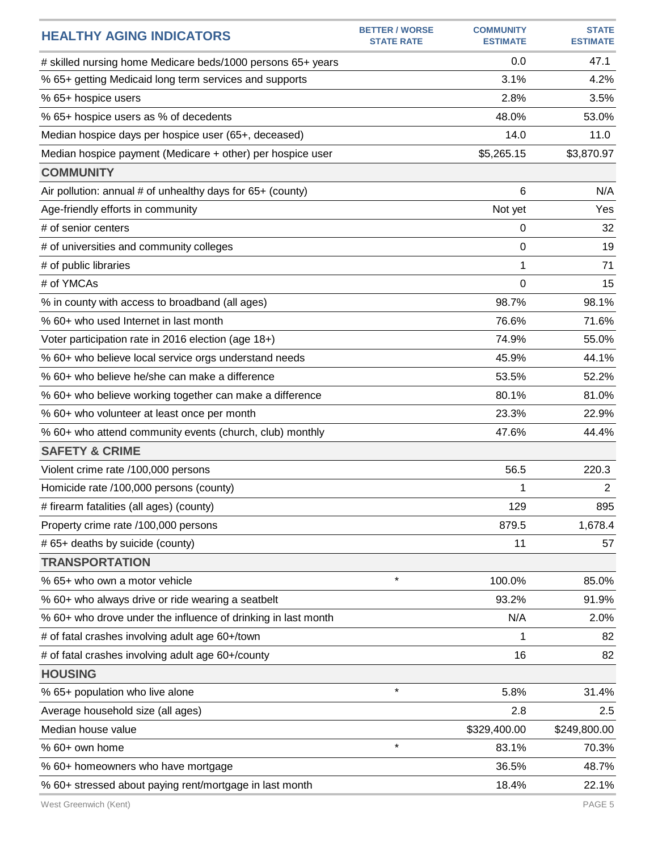| 0.0<br>47.1<br># skilled nursing home Medicare beds/1000 persons 65+ years<br>% 65+ getting Medicaid long term services and supports<br>3.1%<br>4.2%<br>% 65+ hospice users<br>2.8%<br>3.5%<br>% 65+ hospice users as % of decedents<br>48.0%<br>53.0%<br>Median hospice days per hospice user (65+, deceased)<br>14.0<br>11.0<br>\$3,870.97<br>\$5,265.15<br>Median hospice payment (Medicare + other) per hospice user<br><b>COMMUNITY</b><br>Air pollution: annual # of unhealthy days for 65+ (county)<br>6<br>N/A<br>Age-friendly efforts in community<br>Not yet<br>Yes<br># of senior centers<br>0<br>32<br>19<br># of universities and community colleges<br>0<br>1<br># of public libraries<br>71<br># of YMCAs<br>$\Omega$<br>15<br>98.7%<br>98.1%<br>% in county with access to broadband (all ages)<br>% 60+ who used Internet in last month<br>76.6%<br>71.6%<br>74.9%<br>55.0%<br>Voter participation rate in 2016 election (age 18+)<br>% 60+ who believe local service orgs understand needs<br>45.9%<br>44.1%<br>% 60+ who believe he/she can make a difference<br>53.5%<br>52.2%<br>81.0%<br>% 60+ who believe working together can make a difference<br>80.1%<br>% 60+ who volunteer at least once per month<br>23.3%<br>22.9%<br>47.6%<br>44.4%<br>% 60+ who attend community events (church, club) monthly<br><b>SAFETY &amp; CRIME</b><br>56.5<br>220.3<br>Violent crime rate /100,000 persons<br>Homicide rate /100,000 persons (county)<br>1<br>$\overline{2}$<br># firearm fatalities (all ages) (county)<br>129<br>895<br>879.5<br>1,678.4<br>Property crime rate /100,000 persons<br># 65+ deaths by suicide (county)<br>11<br>57<br><b>TRANSPORTATION</b><br>$\star$<br>100.0%<br>% 65+ who own a motor vehicle<br>85.0%<br>% 60+ who always drive or ride wearing a seatbelt<br>93.2%<br>91.9%<br>N/A<br>% 60+ who drove under the influence of drinking in last month<br>2.0%<br># of fatal crashes involving adult age 60+/town<br>1<br>82<br># of fatal crashes involving adult age 60+/county<br>16<br>82<br><b>HOUSING</b><br>$\star$<br>5.8%<br>% 65+ population who live alone<br>31.4%<br>Average household size (all ages)<br>2.8<br>2.5<br>Median house value<br>\$329,400.00<br>\$249,800.00<br>$\star$<br>% 60+ own home<br>83.1%<br>70.3% | <b>HEALTHY AGING INDICATORS</b>    | <b>BETTER / WORSE</b><br><b>STATE RATE</b> | <b>COMMUNITY</b><br><b>ESTIMATE</b> | <b>STATE</b><br><b>ESTIMATE</b> |
|-------------------------------------------------------------------------------------------------------------------------------------------------------------------------------------------------------------------------------------------------------------------------------------------------------------------------------------------------------------------------------------------------------------------------------------------------------------------------------------------------------------------------------------------------------------------------------------------------------------------------------------------------------------------------------------------------------------------------------------------------------------------------------------------------------------------------------------------------------------------------------------------------------------------------------------------------------------------------------------------------------------------------------------------------------------------------------------------------------------------------------------------------------------------------------------------------------------------------------------------------------------------------------------------------------------------------------------------------------------------------------------------------------------------------------------------------------------------------------------------------------------------------------------------------------------------------------------------------------------------------------------------------------------------------------------------------------------------------------------------------------------------------------------------------------------------------------------------------------------------------------------------------------------------------------------------------------------------------------------------------------------------------------------------------------------------------------------------------------------------------------------------------------------------------------------------------------------------------------------------------------------------------------------|------------------------------------|--------------------------------------------|-------------------------------------|---------------------------------|
|                                                                                                                                                                                                                                                                                                                                                                                                                                                                                                                                                                                                                                                                                                                                                                                                                                                                                                                                                                                                                                                                                                                                                                                                                                                                                                                                                                                                                                                                                                                                                                                                                                                                                                                                                                                                                                                                                                                                                                                                                                                                                                                                                                                                                                                                                     |                                    |                                            |                                     |                                 |
|                                                                                                                                                                                                                                                                                                                                                                                                                                                                                                                                                                                                                                                                                                                                                                                                                                                                                                                                                                                                                                                                                                                                                                                                                                                                                                                                                                                                                                                                                                                                                                                                                                                                                                                                                                                                                                                                                                                                                                                                                                                                                                                                                                                                                                                                                     |                                    |                                            |                                     |                                 |
|                                                                                                                                                                                                                                                                                                                                                                                                                                                                                                                                                                                                                                                                                                                                                                                                                                                                                                                                                                                                                                                                                                                                                                                                                                                                                                                                                                                                                                                                                                                                                                                                                                                                                                                                                                                                                                                                                                                                                                                                                                                                                                                                                                                                                                                                                     |                                    |                                            |                                     |                                 |
|                                                                                                                                                                                                                                                                                                                                                                                                                                                                                                                                                                                                                                                                                                                                                                                                                                                                                                                                                                                                                                                                                                                                                                                                                                                                                                                                                                                                                                                                                                                                                                                                                                                                                                                                                                                                                                                                                                                                                                                                                                                                                                                                                                                                                                                                                     |                                    |                                            |                                     |                                 |
|                                                                                                                                                                                                                                                                                                                                                                                                                                                                                                                                                                                                                                                                                                                                                                                                                                                                                                                                                                                                                                                                                                                                                                                                                                                                                                                                                                                                                                                                                                                                                                                                                                                                                                                                                                                                                                                                                                                                                                                                                                                                                                                                                                                                                                                                                     |                                    |                                            |                                     |                                 |
|                                                                                                                                                                                                                                                                                                                                                                                                                                                                                                                                                                                                                                                                                                                                                                                                                                                                                                                                                                                                                                                                                                                                                                                                                                                                                                                                                                                                                                                                                                                                                                                                                                                                                                                                                                                                                                                                                                                                                                                                                                                                                                                                                                                                                                                                                     |                                    |                                            |                                     |                                 |
|                                                                                                                                                                                                                                                                                                                                                                                                                                                                                                                                                                                                                                                                                                                                                                                                                                                                                                                                                                                                                                                                                                                                                                                                                                                                                                                                                                                                                                                                                                                                                                                                                                                                                                                                                                                                                                                                                                                                                                                                                                                                                                                                                                                                                                                                                     |                                    |                                            |                                     |                                 |
|                                                                                                                                                                                                                                                                                                                                                                                                                                                                                                                                                                                                                                                                                                                                                                                                                                                                                                                                                                                                                                                                                                                                                                                                                                                                                                                                                                                                                                                                                                                                                                                                                                                                                                                                                                                                                                                                                                                                                                                                                                                                                                                                                                                                                                                                                     |                                    |                                            |                                     |                                 |
|                                                                                                                                                                                                                                                                                                                                                                                                                                                                                                                                                                                                                                                                                                                                                                                                                                                                                                                                                                                                                                                                                                                                                                                                                                                                                                                                                                                                                                                                                                                                                                                                                                                                                                                                                                                                                                                                                                                                                                                                                                                                                                                                                                                                                                                                                     |                                    |                                            |                                     |                                 |
|                                                                                                                                                                                                                                                                                                                                                                                                                                                                                                                                                                                                                                                                                                                                                                                                                                                                                                                                                                                                                                                                                                                                                                                                                                                                                                                                                                                                                                                                                                                                                                                                                                                                                                                                                                                                                                                                                                                                                                                                                                                                                                                                                                                                                                                                                     |                                    |                                            |                                     |                                 |
|                                                                                                                                                                                                                                                                                                                                                                                                                                                                                                                                                                                                                                                                                                                                                                                                                                                                                                                                                                                                                                                                                                                                                                                                                                                                                                                                                                                                                                                                                                                                                                                                                                                                                                                                                                                                                                                                                                                                                                                                                                                                                                                                                                                                                                                                                     |                                    |                                            |                                     |                                 |
|                                                                                                                                                                                                                                                                                                                                                                                                                                                                                                                                                                                                                                                                                                                                                                                                                                                                                                                                                                                                                                                                                                                                                                                                                                                                                                                                                                                                                                                                                                                                                                                                                                                                                                                                                                                                                                                                                                                                                                                                                                                                                                                                                                                                                                                                                     |                                    |                                            |                                     |                                 |
|                                                                                                                                                                                                                                                                                                                                                                                                                                                                                                                                                                                                                                                                                                                                                                                                                                                                                                                                                                                                                                                                                                                                                                                                                                                                                                                                                                                                                                                                                                                                                                                                                                                                                                                                                                                                                                                                                                                                                                                                                                                                                                                                                                                                                                                                                     |                                    |                                            |                                     |                                 |
|                                                                                                                                                                                                                                                                                                                                                                                                                                                                                                                                                                                                                                                                                                                                                                                                                                                                                                                                                                                                                                                                                                                                                                                                                                                                                                                                                                                                                                                                                                                                                                                                                                                                                                                                                                                                                                                                                                                                                                                                                                                                                                                                                                                                                                                                                     |                                    |                                            |                                     |                                 |
|                                                                                                                                                                                                                                                                                                                                                                                                                                                                                                                                                                                                                                                                                                                                                                                                                                                                                                                                                                                                                                                                                                                                                                                                                                                                                                                                                                                                                                                                                                                                                                                                                                                                                                                                                                                                                                                                                                                                                                                                                                                                                                                                                                                                                                                                                     |                                    |                                            |                                     |                                 |
|                                                                                                                                                                                                                                                                                                                                                                                                                                                                                                                                                                                                                                                                                                                                                                                                                                                                                                                                                                                                                                                                                                                                                                                                                                                                                                                                                                                                                                                                                                                                                                                                                                                                                                                                                                                                                                                                                                                                                                                                                                                                                                                                                                                                                                                                                     |                                    |                                            |                                     |                                 |
|                                                                                                                                                                                                                                                                                                                                                                                                                                                                                                                                                                                                                                                                                                                                                                                                                                                                                                                                                                                                                                                                                                                                                                                                                                                                                                                                                                                                                                                                                                                                                                                                                                                                                                                                                                                                                                                                                                                                                                                                                                                                                                                                                                                                                                                                                     |                                    |                                            |                                     |                                 |
|                                                                                                                                                                                                                                                                                                                                                                                                                                                                                                                                                                                                                                                                                                                                                                                                                                                                                                                                                                                                                                                                                                                                                                                                                                                                                                                                                                                                                                                                                                                                                                                                                                                                                                                                                                                                                                                                                                                                                                                                                                                                                                                                                                                                                                                                                     |                                    |                                            |                                     |                                 |
|                                                                                                                                                                                                                                                                                                                                                                                                                                                                                                                                                                                                                                                                                                                                                                                                                                                                                                                                                                                                                                                                                                                                                                                                                                                                                                                                                                                                                                                                                                                                                                                                                                                                                                                                                                                                                                                                                                                                                                                                                                                                                                                                                                                                                                                                                     |                                    |                                            |                                     |                                 |
|                                                                                                                                                                                                                                                                                                                                                                                                                                                                                                                                                                                                                                                                                                                                                                                                                                                                                                                                                                                                                                                                                                                                                                                                                                                                                                                                                                                                                                                                                                                                                                                                                                                                                                                                                                                                                                                                                                                                                                                                                                                                                                                                                                                                                                                                                     |                                    |                                            |                                     |                                 |
|                                                                                                                                                                                                                                                                                                                                                                                                                                                                                                                                                                                                                                                                                                                                                                                                                                                                                                                                                                                                                                                                                                                                                                                                                                                                                                                                                                                                                                                                                                                                                                                                                                                                                                                                                                                                                                                                                                                                                                                                                                                                                                                                                                                                                                                                                     |                                    |                                            |                                     |                                 |
|                                                                                                                                                                                                                                                                                                                                                                                                                                                                                                                                                                                                                                                                                                                                                                                                                                                                                                                                                                                                                                                                                                                                                                                                                                                                                                                                                                                                                                                                                                                                                                                                                                                                                                                                                                                                                                                                                                                                                                                                                                                                                                                                                                                                                                                                                     |                                    |                                            |                                     |                                 |
|                                                                                                                                                                                                                                                                                                                                                                                                                                                                                                                                                                                                                                                                                                                                                                                                                                                                                                                                                                                                                                                                                                                                                                                                                                                                                                                                                                                                                                                                                                                                                                                                                                                                                                                                                                                                                                                                                                                                                                                                                                                                                                                                                                                                                                                                                     |                                    |                                            |                                     |                                 |
|                                                                                                                                                                                                                                                                                                                                                                                                                                                                                                                                                                                                                                                                                                                                                                                                                                                                                                                                                                                                                                                                                                                                                                                                                                                                                                                                                                                                                                                                                                                                                                                                                                                                                                                                                                                                                                                                                                                                                                                                                                                                                                                                                                                                                                                                                     |                                    |                                            |                                     |                                 |
|                                                                                                                                                                                                                                                                                                                                                                                                                                                                                                                                                                                                                                                                                                                                                                                                                                                                                                                                                                                                                                                                                                                                                                                                                                                                                                                                                                                                                                                                                                                                                                                                                                                                                                                                                                                                                                                                                                                                                                                                                                                                                                                                                                                                                                                                                     |                                    |                                            |                                     |                                 |
|                                                                                                                                                                                                                                                                                                                                                                                                                                                                                                                                                                                                                                                                                                                                                                                                                                                                                                                                                                                                                                                                                                                                                                                                                                                                                                                                                                                                                                                                                                                                                                                                                                                                                                                                                                                                                                                                                                                                                                                                                                                                                                                                                                                                                                                                                     |                                    |                                            |                                     |                                 |
|                                                                                                                                                                                                                                                                                                                                                                                                                                                                                                                                                                                                                                                                                                                                                                                                                                                                                                                                                                                                                                                                                                                                                                                                                                                                                                                                                                                                                                                                                                                                                                                                                                                                                                                                                                                                                                                                                                                                                                                                                                                                                                                                                                                                                                                                                     |                                    |                                            |                                     |                                 |
|                                                                                                                                                                                                                                                                                                                                                                                                                                                                                                                                                                                                                                                                                                                                                                                                                                                                                                                                                                                                                                                                                                                                                                                                                                                                                                                                                                                                                                                                                                                                                                                                                                                                                                                                                                                                                                                                                                                                                                                                                                                                                                                                                                                                                                                                                     |                                    |                                            |                                     |                                 |
|                                                                                                                                                                                                                                                                                                                                                                                                                                                                                                                                                                                                                                                                                                                                                                                                                                                                                                                                                                                                                                                                                                                                                                                                                                                                                                                                                                                                                                                                                                                                                                                                                                                                                                                                                                                                                                                                                                                                                                                                                                                                                                                                                                                                                                                                                     |                                    |                                            |                                     |                                 |
|                                                                                                                                                                                                                                                                                                                                                                                                                                                                                                                                                                                                                                                                                                                                                                                                                                                                                                                                                                                                                                                                                                                                                                                                                                                                                                                                                                                                                                                                                                                                                                                                                                                                                                                                                                                                                                                                                                                                                                                                                                                                                                                                                                                                                                                                                     |                                    |                                            |                                     |                                 |
|                                                                                                                                                                                                                                                                                                                                                                                                                                                                                                                                                                                                                                                                                                                                                                                                                                                                                                                                                                                                                                                                                                                                                                                                                                                                                                                                                                                                                                                                                                                                                                                                                                                                                                                                                                                                                                                                                                                                                                                                                                                                                                                                                                                                                                                                                     |                                    |                                            |                                     |                                 |
|                                                                                                                                                                                                                                                                                                                                                                                                                                                                                                                                                                                                                                                                                                                                                                                                                                                                                                                                                                                                                                                                                                                                                                                                                                                                                                                                                                                                                                                                                                                                                                                                                                                                                                                                                                                                                                                                                                                                                                                                                                                                                                                                                                                                                                                                                     |                                    |                                            |                                     |                                 |
|                                                                                                                                                                                                                                                                                                                                                                                                                                                                                                                                                                                                                                                                                                                                                                                                                                                                                                                                                                                                                                                                                                                                                                                                                                                                                                                                                                                                                                                                                                                                                                                                                                                                                                                                                                                                                                                                                                                                                                                                                                                                                                                                                                                                                                                                                     |                                    |                                            |                                     |                                 |
|                                                                                                                                                                                                                                                                                                                                                                                                                                                                                                                                                                                                                                                                                                                                                                                                                                                                                                                                                                                                                                                                                                                                                                                                                                                                                                                                                                                                                                                                                                                                                                                                                                                                                                                                                                                                                                                                                                                                                                                                                                                                                                                                                                                                                                                                                     |                                    |                                            |                                     |                                 |
|                                                                                                                                                                                                                                                                                                                                                                                                                                                                                                                                                                                                                                                                                                                                                                                                                                                                                                                                                                                                                                                                                                                                                                                                                                                                                                                                                                                                                                                                                                                                                                                                                                                                                                                                                                                                                                                                                                                                                                                                                                                                                                                                                                                                                                                                                     |                                    |                                            |                                     |                                 |
|                                                                                                                                                                                                                                                                                                                                                                                                                                                                                                                                                                                                                                                                                                                                                                                                                                                                                                                                                                                                                                                                                                                                                                                                                                                                                                                                                                                                                                                                                                                                                                                                                                                                                                                                                                                                                                                                                                                                                                                                                                                                                                                                                                                                                                                                                     |                                    |                                            |                                     |                                 |
|                                                                                                                                                                                                                                                                                                                                                                                                                                                                                                                                                                                                                                                                                                                                                                                                                                                                                                                                                                                                                                                                                                                                                                                                                                                                                                                                                                                                                                                                                                                                                                                                                                                                                                                                                                                                                                                                                                                                                                                                                                                                                                                                                                                                                                                                                     |                                    |                                            |                                     |                                 |
|                                                                                                                                                                                                                                                                                                                                                                                                                                                                                                                                                                                                                                                                                                                                                                                                                                                                                                                                                                                                                                                                                                                                                                                                                                                                                                                                                                                                                                                                                                                                                                                                                                                                                                                                                                                                                                                                                                                                                                                                                                                                                                                                                                                                                                                                                     |                                    |                                            |                                     |                                 |
|                                                                                                                                                                                                                                                                                                                                                                                                                                                                                                                                                                                                                                                                                                                                                                                                                                                                                                                                                                                                                                                                                                                                                                                                                                                                                                                                                                                                                                                                                                                                                                                                                                                                                                                                                                                                                                                                                                                                                                                                                                                                                                                                                                                                                                                                                     | % 60+ homeowners who have mortgage |                                            | 36.5%                               | 48.7%                           |
| % 60+ stressed about paying rent/mortgage in last month<br>18.4%<br>22.1%                                                                                                                                                                                                                                                                                                                                                                                                                                                                                                                                                                                                                                                                                                                                                                                                                                                                                                                                                                                                                                                                                                                                                                                                                                                                                                                                                                                                                                                                                                                                                                                                                                                                                                                                                                                                                                                                                                                                                                                                                                                                                                                                                                                                           |                                    |                                            |                                     |                                 |